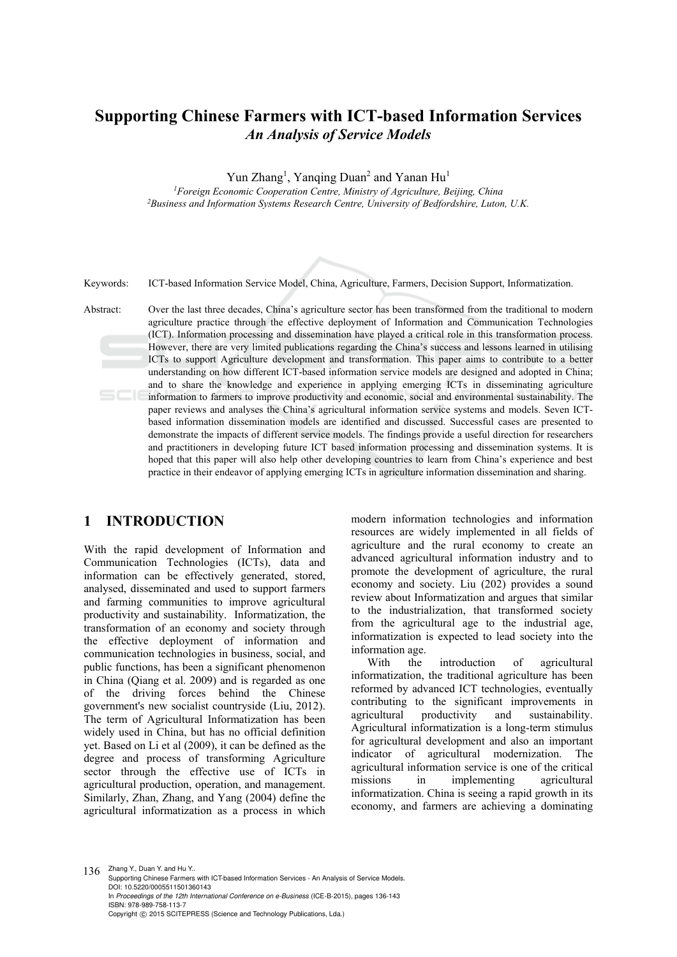# **Supporting Chinese Farmers with ICT-based Information Services**  *An Analysis of Service Models*

Yun Zhang<sup>1</sup>, Yanqing Duan<sup>2</sup> and Yanan Hu<sup>1</sup>

*1Foreign Economic Cooperation Centre, Ministry of Agriculture, Beijing, China 2Business and Information Systems Research Centre, University of Bedfordshire, Luton, U.K.* 

Keywords: ICT-based Information Service Model, China, Agriculture, Farmers, Decision Support, Informatization.

Abstract: Over the last three decades, China's agriculture sector has been transformed from the traditional to modern agriculture practice through the effective deployment of Information and Communication Technologies (ICT). Information processing and dissemination have played a critical role in this transformation process. However, there are very limited publications regarding the China's success and lessons learned in utilising ICTs to support Agriculture development and transformation. This paper aims to contribute to a better understanding on how different ICT-based information service models are designed and adopted in China; and to share the knowledge and experience in applying emerging ICTs in disseminating agriculture information to farmers to improve productivity and economic, social and environmental sustainability. The paper reviews and analyses the China's agricultural information service systems and models. Seven ICTbased information dissemination models are identified and discussed. Successful cases are presented to demonstrate the impacts of different service models. The findings provide a useful direction for researchers and practitioners in developing future ICT based information processing and dissemination systems. It is hoped that this paper will also help other developing countries to learn from China's experience and best practice in their endeavor of applying emerging ICTs in agriculture information dissemination and sharing.

# **1 INTRODUCTION**

With the rapid development of Information and Communication Technologies (ICTs), data and information can be effectively generated, stored, analysed, disseminated and used to support farmers and farming communities to improve agricultural productivity and sustainability. Informatization, the transformation of an economy and society through the effective deployment of information and communication technologies in business, social, and public functions, has been a significant phenomenon in China (Qiang et al. 2009) and is regarded as one of the driving forces behind the Chinese government's new socialist countryside (Liu, 2012). The term of Agricultural Informatization has been widely used in China, but has no official definition yet. Based on Li et al (2009), it can be defined as the degree and process of transforming Agriculture sector through the effective use of ICTs in agricultural production, operation, and management. Similarly, Zhan, Zhang, and Yang (2004) define the agricultural informatization as a process in which

modern information technologies and information resources are widely implemented in all fields of agriculture and the rural economy to create an advanced agricultural information industry and to promote the development of agriculture, the rural economy and society. Liu (202) provides a sound review about Informatization and argues that similar to the industrialization, that transformed society from the agricultural age to the industrial age, informatization is expected to lead society into the information age.

With the introduction of agricultural informatization, the traditional agriculture has been reformed by advanced ICT technologies, eventually contributing to the significant improvements in agricultural productivity and sustainability. Agricultural informatization is a long-term stimulus for agricultural development and also an important indicator of agricultural modernization. The agricultural information service is one of the critical missions in implementing agricultural informatization. China is seeing a rapid growth in its economy, and farmers are achieving a dominating

 $136$  Zhang Y., Duan Y. and Hu Y.. Supporting Chinese Farmers with ICT-based Information Services - An Analysis of Service Models. DOI: 10.5220/0005511501360143 In *Proceedings of the 12th International Conference on e-Business* (ICE-B-2015), pages 136-143 ISBN: 978-989-758-113-7 Copyright © 2015 SCITEPRESS (Science and Technology Publications, Lda.)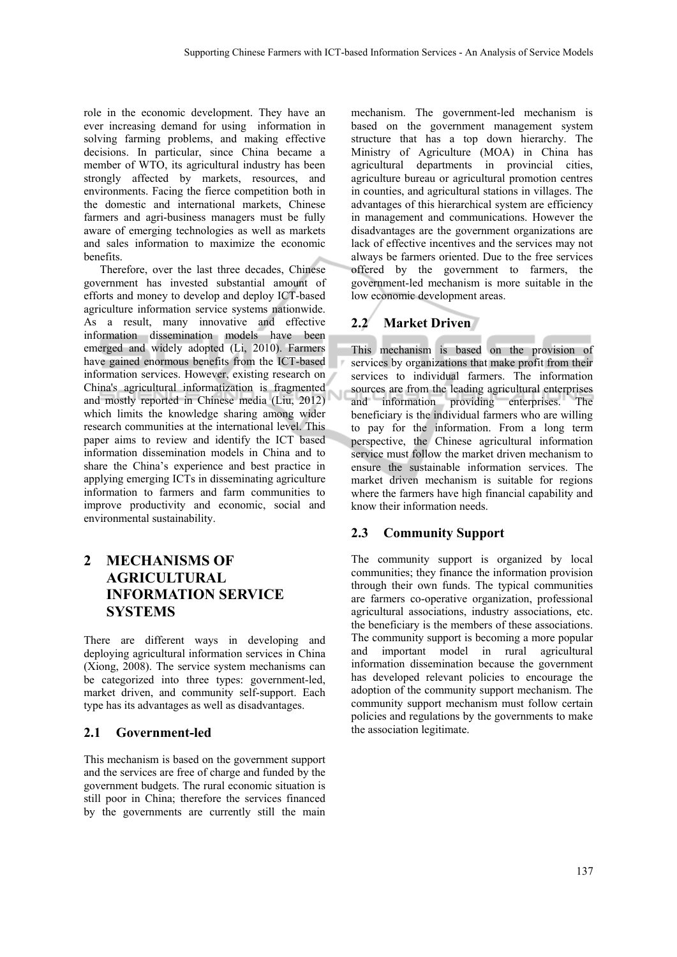role in the economic development. They have an ever increasing demand for using information in solving farming problems, and making effective decisions. In particular, since China became a member of WTO, its agricultural industry has been strongly affected by markets, resources, and environments. Facing the fierce competition both in the domestic and international markets, Chinese farmers and agri-business managers must be fully aware of emerging technologies as well as markets and sales information to maximize the economic benefits.

Therefore, over the last three decades, Chinese government has invested substantial amount of efforts and money to develop and deploy ICT-based agriculture information service systems nationwide. As a result, many innovative and effective information dissemination models have been emerged and widely adopted (Li, 2010). Farmers have gained enormous benefits from the ICT-based information services. However, existing research on China's agricultural informatization is fragmented and mostly reported in Chinese media (Liu, 2012) which limits the knowledge sharing among wider research communities at the international level. This paper aims to review and identify the ICT based information dissemination models in China and to share the China's experience and best practice in applying emerging ICTs in disseminating agriculture information to farmers and farm communities to improve productivity and economic, social and environmental sustainability.

# **2 MECHANISMS OF AGRICULTURAL INFORMATION SERVICE SYSTEMS**

There are different ways in developing and deploying agricultural information services in China (Xiong, 2008). The service system mechanisms can be categorized into three types: government-led, market driven, and community self-support. Each type has its advantages as well as disadvantages.

## **2.1 Government-led**

This mechanism is based on the government support and the services are free of charge and funded by the government budgets. The rural economic situation is still poor in China; therefore the services financed by the governments are currently still the main

mechanism. The government-led mechanism is based on the government management system structure that has a top down hierarchy. The Ministry of Agriculture (MOA) in China has agricultural departments in provincial cities, agriculture bureau or agricultural promotion centres in counties, and agricultural stations in villages. The advantages of this hierarchical system are efficiency in management and communications. However the disadvantages are the government organizations are lack of effective incentives and the services may not always be farmers oriented. Due to the free services offered by the government to farmers, the government-led mechanism is more suitable in the low economic development areas.

# **2.2 Market Driven**

This mechanism is based on the provision of services by organizations that make profit from their services to individual farmers. The information sources are from the leading agricultural enterprises and information providing enterprises. The beneficiary is the individual farmers who are willing to pay for the information. From a long term perspective, the Chinese agricultural information service must follow the market driven mechanism to ensure the sustainable information services. The market driven mechanism is suitable for regions where the farmers have high financial capability and know their information needs.

# **2.3 Community Support**

The community support is organized by local communities; they finance the information provision through their own funds. The typical communities are farmers co-operative organization, professional agricultural associations, industry associations, etc. the beneficiary is the members of these associations. The community support is becoming a more popular and important model in rural agricultural information dissemination because the government has developed relevant policies to encourage the adoption of the community support mechanism. The community support mechanism must follow certain policies and regulations by the governments to make the association legitimate.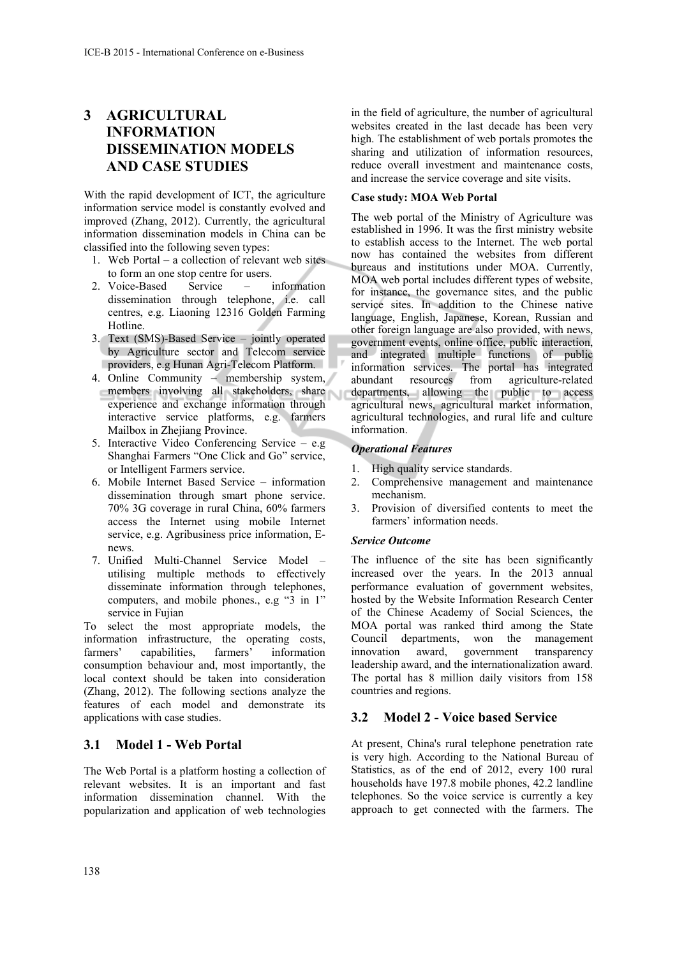# **3 AGRICULTURAL INFORMATION DISSEMINATION MODELS AND CASE STUDIES**

With the rapid development of ICT, the agriculture information service model is constantly evolved and improved (Zhang, 2012). Currently, the agricultural information dissemination models in China can be classified into the following seven types:

- 1. Web Portal a collection of relevant web sites to form an one stop centre for users.
- 2. Voice-Based Service information dissemination through telephone, i.e. call centres, e.g. Liaoning 12316 Golden Farming Hotline.
- 3. Text (SMS)-Based Service jointly operated by Agriculture sector and Telecom service providers, e.g Hunan Agri-Telecom Platform.
- 4. Online Community membership system, members involving all stakeholders, share experience and exchange information through interactive service platforms, e.g. farmers Mailbox in Zhejiang Province.
- 5. Interactive Video Conferencing Service e.g Shanghai Farmers "One Click and Go" service, or Intelligent Farmers service.
- 6. Mobile Internet Based Service information dissemination through smart phone service. 70% 3G coverage in rural China, 60% farmers access the Internet using mobile Internet service, e.g. Agribusiness price information, Enews.
- 7. Unified Multi-Channel Service Model utilising multiple methods to effectively disseminate information through telephones, computers, and mobile phones., e.g "3 in 1" service in Fujian

To select the most appropriate models, the information infrastructure, the operating costs, farmers' capabilities, farmers' information consumption behaviour and, most importantly, the local context should be taken into consideration (Zhang, 2012). The following sections analyze the features of each model and demonstrate its applications with case studies.

## **3.1 Model 1 - Web Portal**

The Web Portal is a platform hosting a collection of relevant websites. It is an important and fast information dissemination channel. With the popularization and application of web technologies

in the field of agriculture, the number of agricultural websites created in the last decade has been very high. The establishment of web portals promotes the sharing and utilization of information resources, reduce overall investment and maintenance costs, and increase the service coverage and site visits.

#### **Case study: MOA Web Portal**

The web portal of the Ministry of Agriculture was established in 1996. It was the first ministry website to establish access to the Internet. The web portal now has contained the websites from different bureaus and institutions under MOA. Currently, MOA web portal includes different types of website, for instance, the governance sites, and the public service sites. In addition to the Chinese native language, English, Japanese, Korean, Russian and other foreign language are also provided, with news, government events, online office, public interaction, and integrated multiple functions of public information services. The portal has integrated abundant resources from agriculture-related departments, allowing the public to access agricultural news, agricultural market information, agricultural technologies, and rural life and culture information.

#### *Operational Features*

- 1. High quality service standards.
- 2. Comprehensive management and maintenance mechanism.
- 3. Provision of diversified contents to meet the farmers' information needs.

#### *Service Outcome*

The influence of the site has been significantly increased over the years. In the 2013 annual performance evaluation of government websites, hosted by the Website Information Research Center of the Chinese Academy of Social Sciences, the MOA portal was ranked third among the State Council departments, won the management innovation award, government transparency leadership award, and the internationalization award. The portal has 8 million daily visitors from 158 countries and regions.

## **3.2 Model 2 - Voice based Service**

At present, China's rural telephone penetration rate is very high. According to the National Bureau of Statistics, as of the end of 2012, every 100 rural households have 197.8 mobile phones, 42.2 landline telephones. So the voice service is currently a key approach to get connected with the farmers. The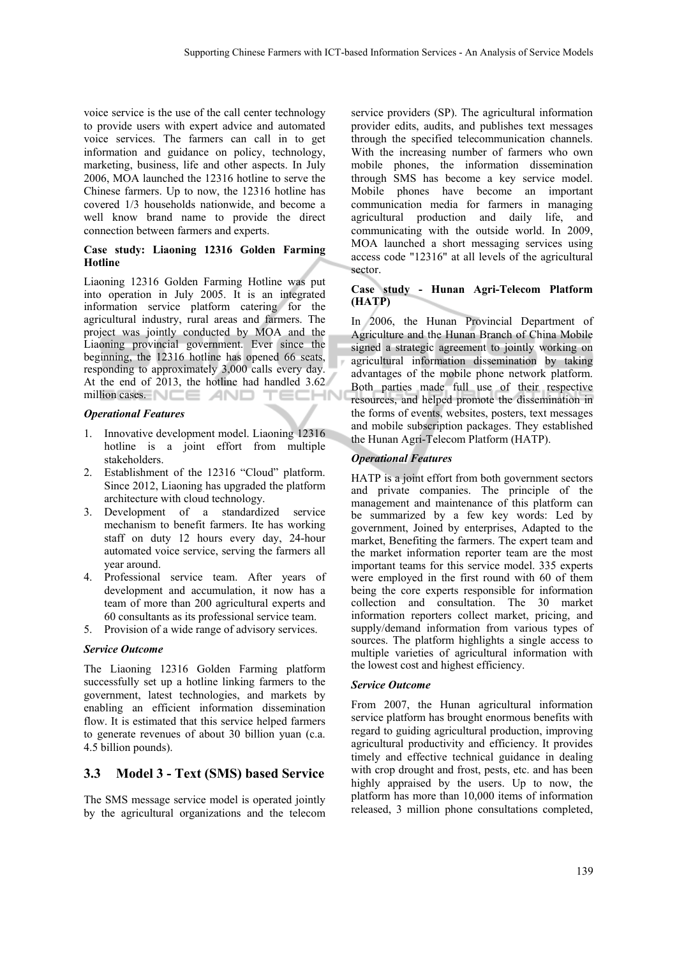voice service is the use of the call center technology to provide users with expert advice and automated voice services. The farmers can call in to get information and guidance on policy, technology, marketing, business, life and other aspects. In July 2006, MOA launched the 12316 hotline to serve the Chinese farmers. Up to now, the 12316 hotline has covered 1/3 households nationwide, and become a well know brand name to provide the direct connection between farmers and experts.

#### **Case study: Liaoning 12316 Golden Farming Hotline**

Liaoning 12316 Golden Farming Hotline was put into operation in July 2005. It is an integrated information service platform catering for the agricultural industry, rural areas and farmers. The project was jointly conducted by MOA and the Liaoning provincial government. Ever since the beginning, the 12316 hotline has opened 66 seats, responding to approximately 3,000 calls every day. At the end of 2013, the hotline had handled 3.62 million cases.  $NCE$  AND TECHN

#### *Operational Features*

- 1. Innovative development model. Liaoning 12316 hotline is a joint effort from multiple stakeholders.
- 2. Establishment of the 12316 "Cloud" platform. Since 2012, Liaoning has upgraded the platform architecture with cloud technology.
- 3. Development of a standardized service mechanism to benefit farmers. Ite has working staff on duty 12 hours every day, 24-hour automated voice service, serving the farmers all year around.
- 4. Professional service team. After years of development and accumulation, it now has a team of more than 200 agricultural experts and 60 consultants as its professional service team.
- 5. Provision of a wide range of advisory services.

#### *Service Outcome*

The Liaoning 12316 Golden Farming platform successfully set up a hotline linking farmers to the government, latest technologies, and markets by enabling an efficient information dissemination flow. It is estimated that this service helped farmers to generate revenues of about 30 billion yuan (c.a. 4.5 billion pounds).

## **3.3 Model 3 - Text (SMS) based Service**

The SMS message service model is operated jointly by the agricultural organizations and the telecom service providers (SP). The agricultural information provider edits, audits, and publishes text messages through the specified telecommunication channels. With the increasing number of farmers who own mobile phones, the information dissemination through SMS has become a key service model. Mobile phones have become an important communication media for farmers in managing agricultural production and daily life, and communicating with the outside world. In 2009, MOA launched a short messaging services using access code "12316" at all levels of the agricultural sector.

#### **Case study - Hunan Agri-Telecom Platform (HATP)**

In 2006, the Hunan Provincial Department of Agriculture and the Hunan Branch of China Mobile signed a strategic agreement to jointly working on agricultural information dissemination by taking advantages of the mobile phone network platform. Both parties made full use of their respective resources, and helped promote the dissemination in the forms of events, websites, posters, text messages and mobile subscription packages. They established the Hunan Agri-Telecom Platform (HATP).

#### *Operational Features*

HATP is a joint effort from both government sectors and private companies. The principle of the management and maintenance of this platform can be summarized by a few key words: Led by government, Joined by enterprises, Adapted to the market, Benefiting the farmers. The expert team and the market information reporter team are the most important teams for this service model. 335 experts were employed in the first round with 60 of them being the core experts responsible for information collection and consultation. The 30 market information reporters collect market, pricing, and supply/demand information from various types of sources. The platform highlights a single access to multiple varieties of agricultural information with the lowest cost and highest efficiency.

#### *Service Outcome*

From 2007, the Hunan agricultural information service platform has brought enormous benefits with regard to guiding agricultural production, improving agricultural productivity and efficiency. It provides timely and effective technical guidance in dealing with crop drought and frost, pests, etc. and has been highly appraised by the users. Up to now, the platform has more than 10,000 items of information released, 3 million phone consultations completed,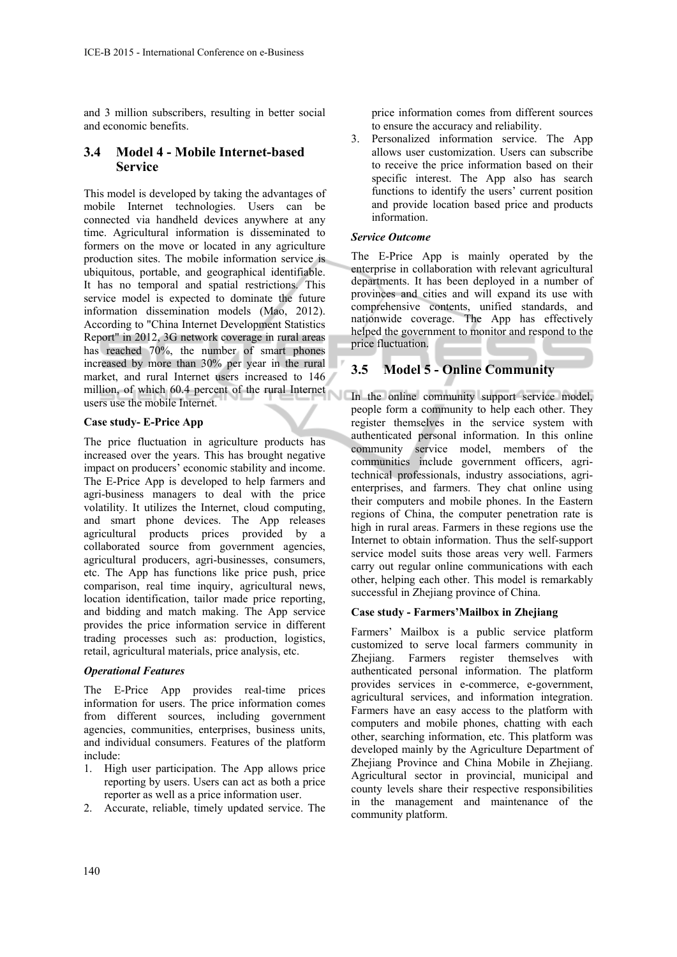and 3 million subscribers, resulting in better social and economic benefits.

## **3.4 Model 4 - Mobile Internet-based Service**

This model is developed by taking the advantages of mobile Internet technologies. Users can be connected via handheld devices anywhere at any time. Agricultural information is disseminated to formers on the move or located in any agriculture production sites. The mobile information service is ubiquitous, portable, and geographical identifiable. It has no temporal and spatial restrictions. This service model is expected to dominate the future information dissemination models (Mao, 2012). According to "China Internet Development Statistics Report" in 2012, 3G network coverage in rural areas has reached 70%, the number of smart phones increased by more than 30% per year in the rural market, and rural Internet users increased to 146 million, of which 60.4 percent of the rural Internet users use the mobile Internet.

#### **Case study- E-Price App**

The price fluctuation in agriculture products has increased over the years. This has brought negative impact on producers' economic stability and income. The E-Price App is developed to help farmers and agri-business managers to deal with the price volatility. It utilizes the Internet, cloud computing, and smart phone devices. The App releases agricultural products prices provided by a collaborated source from government agencies, agricultural producers, agri-businesses, consumers, etc. The App has functions like price push, price comparison, real time inquiry, agricultural news, location identification, tailor made price reporting, and bidding and match making. The App service provides the price information service in different trading processes such as: production, logistics, retail, agricultural materials, price analysis, etc.

#### *Operational Features*

The E-Price App provides real-time prices information for users. The price information comes from different sources, including government agencies, communities, enterprises, business units, and individual consumers. Features of the platform include:

- 1. High user participation. The App allows price reporting by users. Users can act as both a price reporter as well as a price information user.
- 2. Accurate, reliable, timely updated service. The

price information comes from different sources to ensure the accuracy and reliability.

3. Personalized information service. The App allows user customization. Users can subscribe to receive the price information based on their specific interest. The App also has search functions to identify the users' current position and provide location based price and products information.

#### *Service Outcome*

The E-Price App is mainly operated by the enterprise in collaboration with relevant agricultural departments. It has been deployed in a number of provinces and cities and will expand its use with comprehensive contents, unified standards, and nationwide coverage. The App has effectively helped the government to monitor and respond to the price fluctuation.

# **3.5 Model 5 - Online Community**

In the online community support service model, people form a community to help each other. They register themselves in the service system with authenticated personal information. In this online community service model, members of the communities include government officers, agritechnical professionals, industry associations, agrienterprises, and farmers. They chat online using their computers and mobile phones. In the Eastern regions of China, the computer penetration rate is high in rural areas. Farmers in these regions use the Internet to obtain information. Thus the self-support service model suits those areas very well. Farmers carry out regular online communications with each other, helping each other. This model is remarkably successful in Zhejiang province of China.

#### **Case study - Farmers'Mailbox in Zhejiang**

Farmers' Mailbox is a public service platform customized to serve local farmers community in Zhejiang. Farmers register themselves with authenticated personal information. The platform provides services in e-commerce, e-government, agricultural services, and information integration. Farmers have an easy access to the platform with computers and mobile phones, chatting with each other, searching information, etc. This platform was developed mainly by the Agriculture Department of Zhejiang Province and China Mobile in Zhejiang. Agricultural sector in provincial, municipal and county levels share their respective responsibilities in the management and maintenance of the community platform.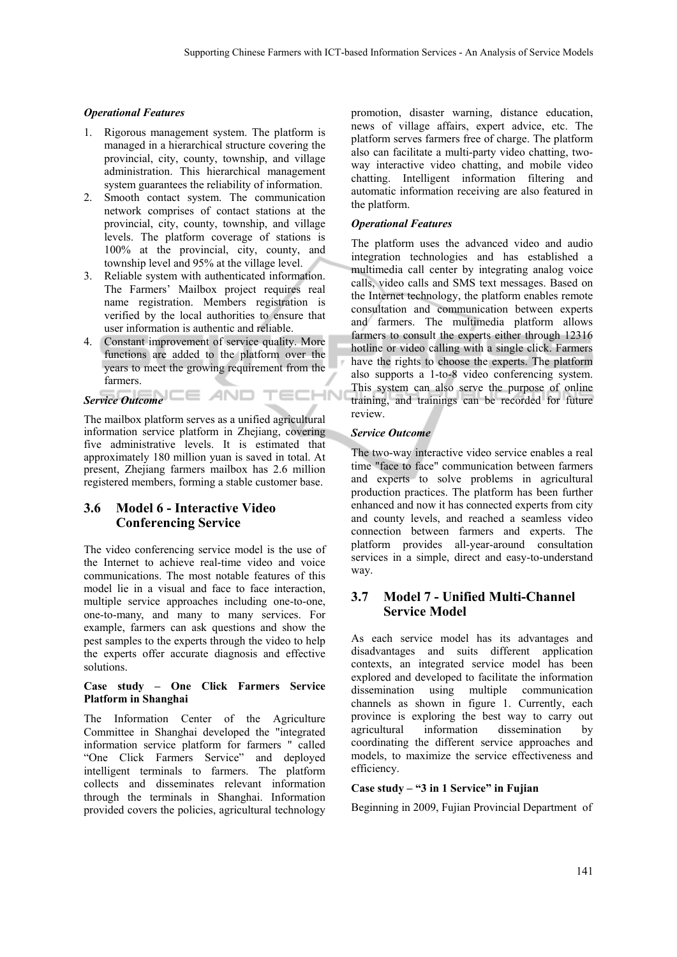#### *Operational Features*

- 1. Rigorous management system. The platform is managed in a hierarchical structure covering the provincial, city, county, township, and village administration. This hierarchical management system guarantees the reliability of information.
- 2. Smooth contact system. The communication network comprises of contact stations at the provincial, city, county, township, and village levels. The platform coverage of stations is 100% at the provincial, city, county, and township level and 95% at the village level.
- 3. Reliable system with authenticated information. The Farmers' Mailbox project requires real name registration. Members registration is verified by the local authorities to ensure that user information is authentic and reliable.
- 4. Constant improvement of service quality. More functions are added to the platform over the years to meet the growing requirement from the farmers.

# *Service Outcome*

The mailbox platform serves as a unified agricultural information service platform in Zhejiang, covering five administrative levels. It is estimated that approximately 180 million yuan is saved in total. At present, Zhejiang farmers mailbox has 2.6 million registered members, forming a stable customer base.

# **3.6 Model 6 - Interactive Video Conferencing Service**

The video conferencing service model is the use of the Internet to achieve real-time video and voice communications. The most notable features of this model lie in a visual and face to face interaction, multiple service approaches including one-to-one, one-to-many, and many to many services. For example, farmers can ask questions and show the pest samples to the experts through the video to help the experts offer accurate diagnosis and effective solutions.

#### **Case study – One Click Farmers Service Platform in Shanghai**

The Information Center of the Agriculture Committee in Shanghai developed the "integrated information service platform for farmers " called "One Click Farmers Service" and deployed intelligent terminals to farmers. The platform collects and disseminates relevant information through the terminals in Shanghai. Information provided covers the policies, agricultural technology

promotion, disaster warning, distance education, news of village affairs, expert advice, etc. The platform serves farmers free of charge. The platform also can facilitate a multi-party video chatting, twoway interactive video chatting, and mobile video chatting. Intelligent information filtering and automatic information receiving are also featured in the platform.

#### *Operational Features*

The platform uses the advanced video and audio integration technologies and has established a multimedia call center by integrating analog voice calls, video calls and SMS text messages. Based on the Internet technology, the platform enables remote consultation and communication between experts and farmers. The multimedia platform allows farmers to consult the experts either through 12316 hotline or video calling with a single click. Farmers have the rights to choose the experts. The platform also supports a 1-to-8 video conferencing system. This system can also serve the purpose of online training, and trainings can be recorded for future review.

#### *Service Outcome*

TECHN

The two-way interactive video service enables a real time "face to face" communication between farmers and experts to solve problems in agricultural production practices. The platform has been further enhanced and now it has connected experts from city and county levels, and reached a seamless video connection between farmers and experts. The platform provides all-year-around consultation services in a simple, direct and easy-to-understand way.

# **3.7 Model 7 - Unified Multi-Channel Service Model**

As each service model has its advantages and disadvantages and suits different application contexts, an integrated service model has been explored and developed to facilitate the information dissemination using multiple communication channels as shown in figure 1. Currently, each province is exploring the best way to carry out agricultural information dissemination by coordinating the different service approaches and models, to maximize the service effectiveness and efficiency.

#### **Case study – "3 in 1 Service" in Fujian**

Beginning in 2009, Fujian Provincial Department of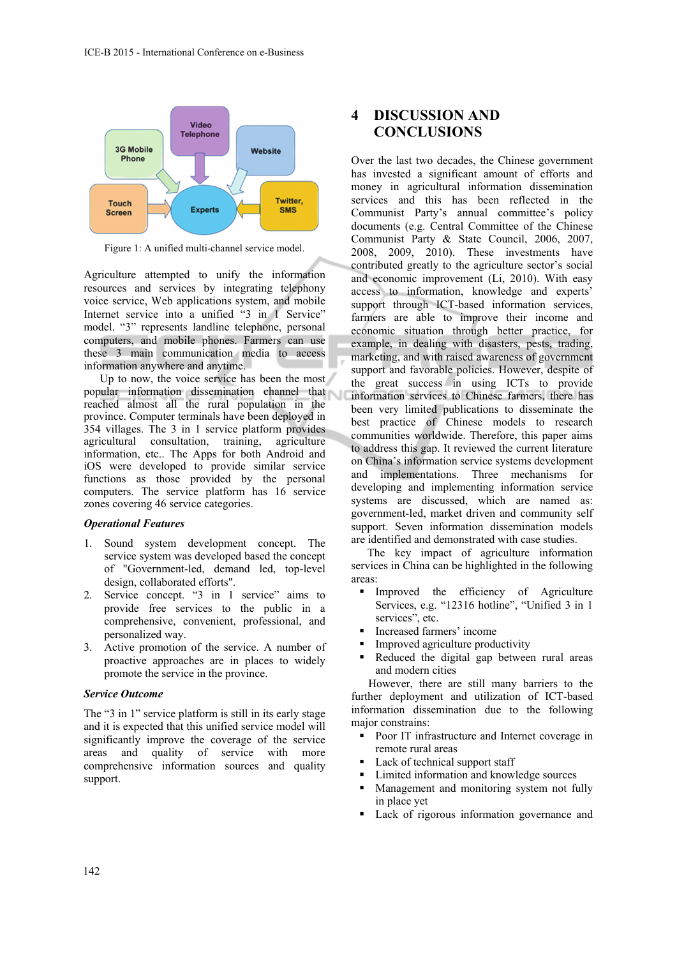

Figure 1: A unified multi-channel service model.

Agriculture attempted to unify the information resources and services by integrating telephony voice service, Web applications system, and mobile Internet service into a unified "3 in 1 Service" model. "3" represents landline telephone, personal computers, and mobile phones. Farmers can use these 3 main communication media to access information anywhere and anytime.

Up to now, the voice service has been the most popular information dissemination channel that reached almost all the rural population in the province. Computer terminals have been deployed in 354 villages. The 3 in 1 service platform provides agricultural consultation, training, agriculture information, etc.. The Apps for both Android and iOS were developed to provide similar service functions as those provided by the personal computers. The service platform has 16 service zones covering 46 service categories.

#### *Operational Features*

- 1. Sound system development concept. The service system was developed based the concept of "Government-led, demand led, top-level design, collaborated efforts".
- 2. Service concept. "3 in 1 service" aims to provide free services to the public in a comprehensive, convenient, professional, and personalized way.
- 3. Active promotion of the service. A number of proactive approaches are in places to widely promote the service in the province.

#### *Service Outcome*

The "3 in 1" service platform is still in its early stage and it is expected that this unified service model will significantly improve the coverage of the service areas and quality of service with more comprehensive information sources and quality support.

# **4 DISCUSSION AND CONCLUSIONS**

Over the last two decades, the Chinese government has invested a significant amount of efforts and money in agricultural information dissemination services and this has been reflected in the Communist Party's annual committee's policy documents (e.g. Central Committee of the Chinese Communist Party & State Council, 2006, 2007, 2008, 2009, 2010). These investments have contributed greatly to the agriculture sector's social and economic improvement (Li, 2010). With easy access to information, knowledge and experts' support through ICT-based information services, farmers are able to improve their income and economic situation through better practice, for example, in dealing with disasters, pests, trading, marketing, and with raised awareness of government support and favorable policies. However, despite of the great success in using ICTs to provide information services to Chinese farmers, there has been very limited publications to disseminate the best practice of Chinese models to research communities worldwide. Therefore, this paper aims to address this gap. It reviewed the current literature on China's information service systems development and implementations. Three mechanisms for developing and implementing information service systems are discussed, which are named as: government-led, market driven and community self support. Seven information dissemination models are identified and demonstrated with case studies.

The key impact of agriculture information services in China can be highlighted in the following areas:

- Improved the efficiency of Agriculture Services, e.g. "12316 hotline", "Unified 3 in 1 services", etc.
- Increased farmers' income
- **Improved agriculture productivity**
- Reduced the digital gap between rural areas and modern cities

However, there are still many barriers to the further deployment and utilization of ICT-based information dissemination due to the following major constrains:

- Poor IT infrastructure and Internet coverage in remote rural areas
- Lack of technical support staff
- Limited information and knowledge sources
- **Management and monitoring system not fully** in place yet
- Lack of rigorous information governance and